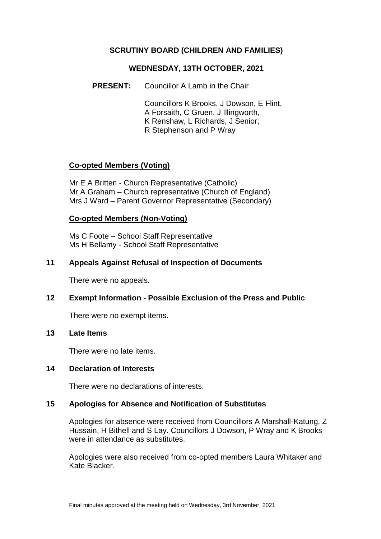# **SCRUTINY BOARD (CHILDREN AND FAMILIES)**

#### **WEDNESDAY, 13TH OCTOBER, 2021**

**PRESENT:** Councillor A Lamb in the Chair

Councillors K Brooks, J Dowson, E Flint, A Forsaith, C Gruen, J Illingworth, K Renshaw, L Richards, J Senior, R Stephenson and P Wray

# **Co-opted Members (Voting)**

Mr E A Britten - Church Representative (Catholic) Mr A Graham – Church representative (Church of England) Mrs J Ward – Parent Governor Representative (Secondary)

#### **Co-opted Members (Non-Voting)**

Ms C Foote – School Staff Representative Ms H Bellamy - School Staff Representative

#### **11 Appeals Against Refusal of Inspection of Documents**

There were no appeals.

## **12 Exempt Information - Possible Exclusion of the Press and Public**

There were no exempt items.

#### **13 Late Items**

There were no late items.

#### **14 Declaration of Interests**

There were no declarations of interests.

## **15 Apologies for Absence and Notification of Substitutes**

Apologies for absence were received from Councillors A Marshall-Katung, Z Hussain, H Bithell and S Lay. Councillors J Dowson, P Wray and K Brooks were in attendance as substitutes.

Apologies were also received from co-opted members Laura Whitaker and Kate Blacker.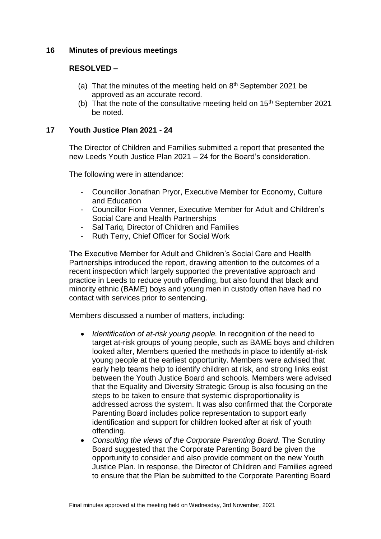## **16 Minutes of previous meetings**

## **RESOLVED –**

- (a) That the minutes of the meeting held on  $8<sup>th</sup>$  September 2021 be approved as an accurate record.
- (b) That the note of the consultative meeting held on  $15<sup>th</sup>$  September 2021 be noted.

## **17 Youth Justice Plan 2021 - 24**

The Director of Children and Families submitted a report that presented the new Leeds Youth Justice Plan 2021 – 24 for the Board's consideration.

The following were in attendance:

- Councillor Jonathan Pryor, Executive Member for Economy, Culture and Education
- Councillor Fiona Venner, Executive Member for Adult and Children's Social Care and Health Partnerships
- Sal Tariq, Director of Children and Families
- Ruth Terry, Chief Officer for Social Work

The Executive Member for Adult and Children's Social Care and Health Partnerships introduced the report, drawing attention to the outcomes of a recent inspection which largely supported the preventative approach and practice in Leeds to reduce youth offending, but also found that black and minority ethnic (BAME) boys and young men in custody often have had no contact with services prior to sentencing.

Members discussed a number of matters, including:

- *Identification of at-risk young people.* In recognition of the need to target at-risk groups of young people, such as BAME boys and children looked after, Members queried the methods in place to identify at-risk young people at the earliest opportunity. Members were advised that early help teams help to identify children at risk, and strong links exist between the Youth Justice Board and schools. Members were advised that the Equality and Diversity Strategic Group is also focusing on the steps to be taken to ensure that systemic disproportionality is addressed across the system. It was also confirmed that the Corporate Parenting Board includes police representation to support early identification and support for children looked after at risk of youth offending.
- *Consulting the views of the Corporate Parenting Board.* The Scrutiny Board suggested that the Corporate Parenting Board be given the opportunity to consider and also provide comment on the new Youth Justice Plan. In response, the Director of Children and Families agreed to ensure that the Plan be submitted to the Corporate Parenting Board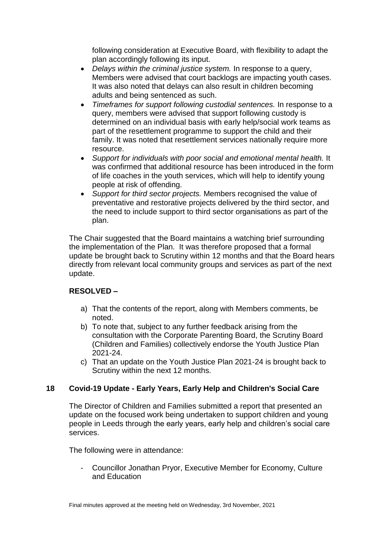following consideration at Executive Board, with flexibility to adapt the plan accordingly following its input.

- *Delays within the criminal justice system.* In response to a query, Members were advised that court backlogs are impacting youth cases. It was also noted that delays can also result in children becoming adults and being sentenced as such.
- *Timeframes for support following custodial sentences.* In response to a query, members were advised that support following custody is determined on an individual basis with early help/social work teams as part of the resettlement programme to support the child and their family. It was noted that resettlement services nationally require more resource.
- *Support for individuals with poor social and emotional mental health.* It was confirmed that additional resource has been introduced in the form of life coaches in the youth services, which will help to identify young people at risk of offending.
- *Support for third sector projects.* Members recognised the value of preventative and restorative projects delivered by the third sector, and the need to include support to third sector organisations as part of the plan.

The Chair suggested that the Board maintains a watching brief surrounding the implementation of the Plan. It was therefore proposed that a formal update be brought back to Scrutiny within 12 months and that the Board hears directly from relevant local community groups and services as part of the next update.

# **RESOLVED –**

- a) That the contents of the report, along with Members comments, be noted.
- b) To note that, subject to any further feedback arising from the consultation with the Corporate Parenting Board, the Scrutiny Board (Children and Families) collectively endorse the Youth Justice Plan 2021-24.
- c) That an update on the Youth Justice Plan 2021-24 is brought back to Scrutiny within the next 12 months.

# **18 Covid-19 Update - Early Years, Early Help and Children's Social Care**

The Director of Children and Families submitted a report that presented an update on the focused work being undertaken to support children and young people in Leeds through the early years, early help and children's social care services.

The following were in attendance:

- Councillor Jonathan Pryor, Executive Member for Economy, Culture and Education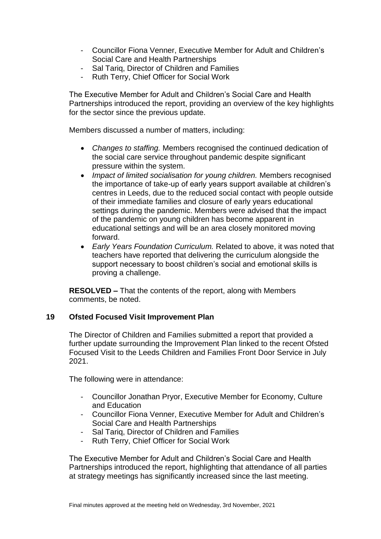- Councillor Fiona Venner, Executive Member for Adult and Children's Social Care and Health Partnerships
- Sal Tariq, Director of Children and Families
- Ruth Terry, Chief Officer for Social Work

The Executive Member for Adult and Children's Social Care and Health Partnerships introduced the report, providing an overview of the key highlights for the sector since the previous update.

Members discussed a number of matters, including:

- *Changes to staffing.* Members recognised the continued dedication of the social care service throughout pandemic despite significant pressure within the system.
- *Impact of limited socialisation for young children.* Members recognised the importance of take-up of early years support available at children's centres in Leeds, due to the reduced social contact with people outside of their immediate families and closure of early years educational settings during the pandemic. Members were advised that the impact of the pandemic on young children has become apparent in educational settings and will be an area closely monitored moving forward.
- *Early Years Foundation Curriculum.* Related to above, it was noted that teachers have reported that delivering the curriculum alongside the support necessary to boost children's social and emotional skills is proving a challenge.

**RESOLVED –** That the contents of the report, along with Members comments, be noted.

## **19 Ofsted Focused Visit Improvement Plan**

The Director of Children and Families submitted a report that provided a further update surrounding the Improvement Plan linked to the recent Ofsted Focused Visit to the Leeds Children and Families Front Door Service in July 2021.

The following were in attendance:

- Councillor Jonathan Pryor, Executive Member for Economy, Culture and Education
- Councillor Fiona Venner, Executive Member for Adult and Children's Social Care and Health Partnerships
- Sal Tariq, Director of Children and Families
- Ruth Terry, Chief Officer for Social Work

The Executive Member for Adult and Children's Social Care and Health Partnerships introduced the report, highlighting that attendance of all parties at strategy meetings has significantly increased since the last meeting.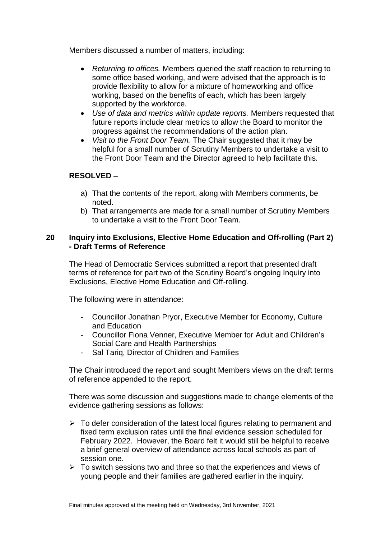Members discussed a number of matters, including:

- *Returning to offices.* Members queried the staff reaction to returning to some office based working, and were advised that the approach is to provide flexibility to allow for a mixture of homeworking and office working, based on the benefits of each, which has been largely supported by the workforce.
- *Use of data and metrics within update reports.* Members requested that future reports include clear metrics to allow the Board to monitor the progress against the recommendations of the action plan.
- *Visit to the Front Door Team.* The Chair suggested that it may be helpful for a small number of Scrutiny Members to undertake a visit to the Front Door Team and the Director agreed to help facilitate this.

# **RESOLVED –**

- a) That the contents of the report, along with Members comments, be noted.
- b) That arrangements are made for a small number of Scrutiny Members to undertake a visit to the Front Door Team.

## **20 Inquiry into Exclusions, Elective Home Education and Off-rolling (Part 2) - Draft Terms of Reference**

The Head of Democratic Services submitted a report that presented draft terms of reference for part two of the Scrutiny Board's ongoing Inquiry into Exclusions, Elective Home Education and Off-rolling.

The following were in attendance:

- Councillor Jonathan Pryor, Executive Member for Economy, Culture and Education
- Councillor Fiona Venner, Executive Member for Adult and Children's Social Care and Health Partnerships
- Sal Tariq, Director of Children and Families

The Chair introduced the report and sought Members views on the draft terms of reference appended to the report.

There was some discussion and suggestions made to change elements of the evidence gathering sessions as follows:

- $\triangleright$  To defer consideration of the latest local figures relating to permanent and fixed term exclusion rates until the final evidence session scheduled for February 2022. However, the Board felt it would still be helpful to receive a brief general overview of attendance across local schools as part of session one.
- $\triangleright$  To switch sessions two and three so that the experiences and views of young people and their families are gathered earlier in the inquiry.